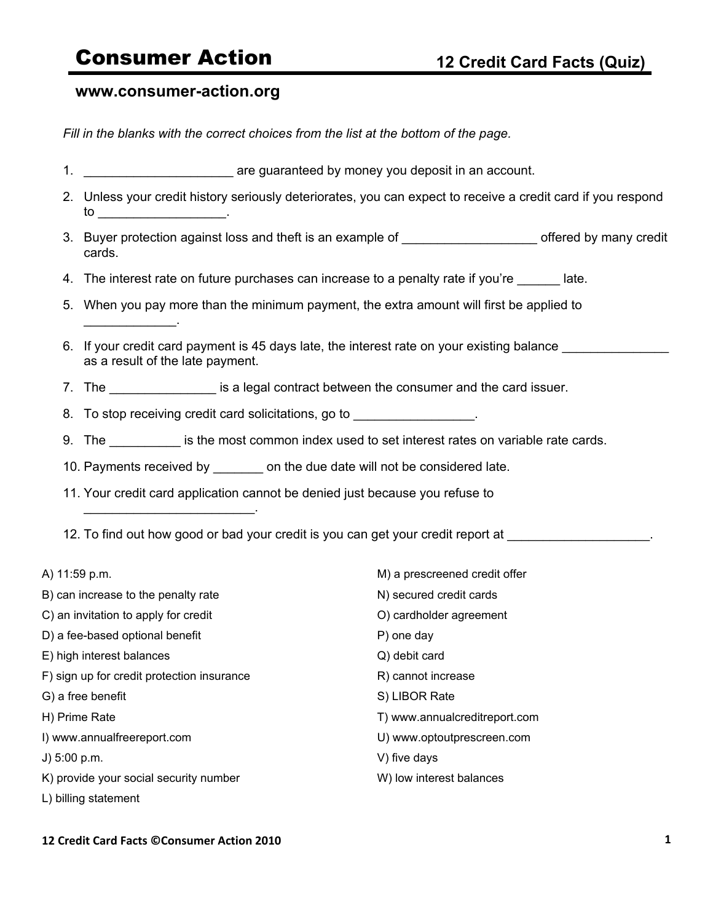## **www.consumer-action.org**

\_\_\_\_\_\_\_\_\_\_\_\_\_.

*Fill in the blanks with the correct choices from the list at the bottom of the page.*

- 1. **1. Example 20 1. 1. EXECUTE: 1. EXECUTE: EXECUTE: EXECUTE: EXECUTE: EXECUTE: EXECUTE: EXECUTE: EXECUTE: EXECUTE: EXECUTE: EXECUTE: EXECUTE: EXECUTE: EXECUTE: EXECUTE: EXECUTE:**
- 2. Unless your credit history seriously deteriorates, you can expect to receive a credit card if you respond to  $\qquad \qquad \qquad .$
- 3. Buyer protection against loss and theft is an example of \_\_\_\_\_\_\_\_\_\_\_\_\_\_\_\_\_\_\_\_\_ offered by many credit cards.
- 4. The interest rate on future purchases can increase to a penalty rate if you're \_\_\_\_\_\_ late.
- 5. When you pay more than the minimum payment, the extra amount will first be applied to
- 6. If your credit card payment is 45 days late, the interest rate on your existing balance as a result of the late payment.
- 7. The \_\_\_\_\_\_\_\_\_\_\_\_\_\_\_ is a legal contract between the consumer and the card issuer.
- 8. To stop receiving credit card solicitations, go to **Solicity**.
- 9. The same is the most common index used to set interest rates on variable rate cards.
- 10. Payments received by \_\_\_\_\_\_\_ on the due date will not be considered late.
- 11. Your credit card application cannot be denied just because you refuse to
- 12. To find out how good or bad your credit is you can get your credit report at  $\sim$

| A) 11:59 p.m.                              | M) a prescreened credit offer |
|--------------------------------------------|-------------------------------|
| B) can increase to the penalty rate        | N) secured credit cards       |
| C) an invitation to apply for credit       | O) cardholder agreement       |
| D) a fee-based optional benefit            | P) one day                    |
| E) high interest balances                  | Q) debit card                 |
| F) sign up for credit protection insurance | R) cannot increase            |
| G) a free benefit                          | S) LIBOR Rate                 |
| H) Prime Rate                              | T) www.annualcreditreport.com |
| I) www.annualfreereport.com                | U) www.optoutprescreen.com    |
| J) $5:00$ p.m.                             | V) five days                  |
| K) provide your social security number     | W) low interest balances      |
| L) billing statement                       |                               |

## **12
Credit
Card
Facts
©Consumer
Action
2010 1**

 $\mathcal{L}_\text{max}$  , and the set of the set of the set of the set of the set of the set of the set of the set of the set of the set of the set of the set of the set of the set of the set of the set of the set of the set of the